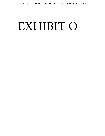## EXHIBIT O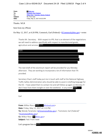From: (b<mark>@doc.gov</mark> To: Comstock, Earl (Federal) Cc: Wilbur Ross; Teramoto, Wendy (Federal) **Subject:** Re: From newt **Date:** Friday, May 12, 2017 6:45:35 PM

Thanks. WLR

Sent from my iPhone

On May 12, 2017, at 6:20 PM, Comstock, Earl (Federal)  $\leq$  EComstock@doc.gov> wrote:

Thanks Mr. Secretary. With respect to IPR, that is an element of the negotiations we will need to address specifically with respect to manufactured goods, agriculture and services, (b)(5)

| (b)(5) |  |  |  |
|--------|--|--|--|
|        |  |  |  |
|        |  |  |  |
|        |  |  |  |
|        |  |  |  |

The next draft of the aluminum report will be provided for you Monday afternoon. They are working to incorporate a lot of information that ITA provided.

Secretary Chao's staff today put me in touch with staff at the National Highway Traffic Safety Administration who should be able to assist in drafting language for the EO. I have asked them to contact me and will follow up again on Monday if I don't hear from them tonight or over the weekend. In any event, (b)(5)

Earl

**From:** Wilbur Ross < 0)(6) <u>@icloud.com</u>> **Date:** Friday, May 12, 2017 at 2:13 PM **To:** Wendy Teramoto <WTeramoto@doc.gov>, "Comstock, Earl (Federal)" <EComstock@doc.gov> **Cc:** Wilbur Ross < a adoc.gov> **Subject:** Fwd: From newt (6)

Let's program him in (b)(5)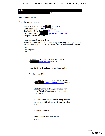## $(b)(5)$

## **WLR**

Sent from my iPhone

Begin forwarded message:

**From:** Shalabh Kumar < $\leq$ (b)(6)  $\frac{\partial \text{avg.net}}{\partial x}$ Date: May 12, 2017 at 8:06:43 AM EDT **To:** Wilbur Ross  $\frac{\phi(6)}{6}$  <u>@icloud.com</u>><br>**Cc:** Thirdwave2  $\frac{\phi(6)}{6}$  *@speakergingrich.com>* Cc: Thirdwave2  $\langle$ (b)(6) Subject: Re: From newt

Good morning Secretary Ross.

Please advise how to go about setting up a meeting. I am open all day except Noon to 2 PM today, and from Tuesday afternoon to Th next week.

Best Regards, Shalli

> On May 12, 2017, at 7:39 AM, Wilbur Ross<br>  $\langle 0 \rangle$   $\langle 0 \rangle$   $\langle 0 \rangle$   $\langle 0 \rangle$   $\langle 0 \rangle$   $\langle 0 \rangle$   $\langle 0 \rangle$ @icloud.com> wrote:

Dear Newt, I will be happy to see him. Wilbur

Sent from my iPhone

On May 10, 2017, at 5:26 PM, Thirdwave2<br>(b)(6)  $\omega$  ospeakergingrich com> wrote  $@space$  are  $@space$  are  $@space$  wrote:

Shalli kumar is a strong republican, very close friend of Modi and very successful businessman

He believes he can get Indian companies to invest up to \$20 billion in US over next four years

His email is above

I think he is worth your seeing Newt